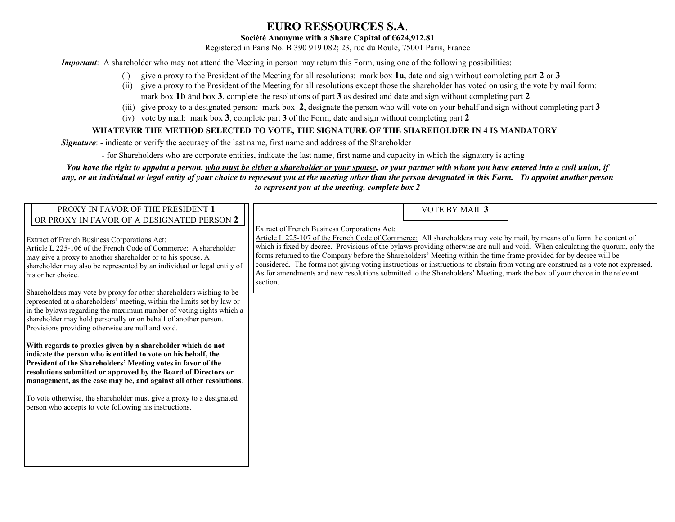## **EURO RESSOURCES S.A**.

## **Société Anonyme with a Share Capital of €624,912.81**

Registered in Paris No. B 390 919 082; 23, rue du Roule, 75001 Paris, France

*Important*: A shareholder who may not attend the Meeting in person may return this Form, using one of the following possibilities:

- (i) give a proxy to the President of the Meeting for all resolutions: mark box **1a,** date and sign without completing part **2** or **3**
- (ii) give a proxy to the President of the Meeting for all resolutions except those the shareholder has voted on using the vote by mail form: mark box **1b** and box **3**, complete the resolutions of part **3** as desired and date and sign without completing part **2**
- (iii) give proxy to a designated person: mark box **2**, designate the person who will vote on your behalf and sign without completing part **3**
- (iv) vote by mail: mark box **3**, complete part **3** of the Form, date and sign without completing part **2**

## **WHATEVER THE METHOD SELECTED TO VOTE, THE SIGNATURE OF THE SHAREHOLDER IN 4 IS MANDATORY**

*Signature*: - indicate or verify the accuracy of the last name, first name and address of the Shareholder

- for Shareholders who are corporate entities, indicate the last name, first name and capacity in which the signatory is acting

*You have the right to appoint a person, who must be either a shareholder or your spouse, or your partner with whom you have entered into a civil union, if any, or an individual or legal entity of your choice to represent you at the meeting other than the person designated in this Form. To appoint another person to represent you at the meeting, complete box 2*

| PROXY IN FAVOR OF THE PRESIDENT 1<br>OR PROXY IN FAVOR OF A DESIGNATED PERSON 2                                                                                                                                                                                                                                                                               | VOTE BY MAIL 3                                                                                                                                                                                                                                                                                                                                                                                                                                                                                                                                                                                                                                                                                                  |
|---------------------------------------------------------------------------------------------------------------------------------------------------------------------------------------------------------------------------------------------------------------------------------------------------------------------------------------------------------------|-----------------------------------------------------------------------------------------------------------------------------------------------------------------------------------------------------------------------------------------------------------------------------------------------------------------------------------------------------------------------------------------------------------------------------------------------------------------------------------------------------------------------------------------------------------------------------------------------------------------------------------------------------------------------------------------------------------------|
| <b>Extract of French Business Corporations Act:</b><br>Article L 225-106 of the French Code of Commerce: A shareholder<br>may give a proxy to another shareholder or to his spouse. A<br>shareholder may also be represented by an individual or legal entity of<br>his or her choice.<br>Shareholders may vote by proxy for other shareholders wishing to be | Extract of French Business Corporations Act:<br>Article L 225-107 of the French Code of Commerce: All shareholders may vote by mail, by means of a form the content of<br>which is fixed by decree. Provisions of the bylaws providing otherwise are null and void. When calculating the quorum, only the<br>forms returned to the Company before the Shareholders' Meeting within the time frame provided for by decree will be<br>considered. The forms not giving voting instructions or instructions to abstain from voting are construed as a vote not expressed.<br>As for amendments and new resolutions submitted to the Shareholders' Meeting, mark the box of your choice in the relevant<br>section. |
| represented at a shareholders' meeting, within the limits set by law or<br>in the bylaws regarding the maximum number of voting rights which a<br>shareholder may hold personally or on behalf of another person.<br>Provisions providing otherwise are null and void.                                                                                        |                                                                                                                                                                                                                                                                                                                                                                                                                                                                                                                                                                                                                                                                                                                 |
| With regards to proxies given by a shareholder which do not<br>indicate the person who is entitled to vote on his behalf, the<br>President of the Shareholders' Meeting votes in favor of the<br>resolutions submitted or approved by the Board of Directors or<br>management, as the case may be, and against all other resolutions.                         |                                                                                                                                                                                                                                                                                                                                                                                                                                                                                                                                                                                                                                                                                                                 |
| To vote otherwise, the shareholder must give a proxy to a designated<br>person who accepts to vote following his instructions.                                                                                                                                                                                                                                |                                                                                                                                                                                                                                                                                                                                                                                                                                                                                                                                                                                                                                                                                                                 |
|                                                                                                                                                                                                                                                                                                                                                               |                                                                                                                                                                                                                                                                                                                                                                                                                                                                                                                                                                                                                                                                                                                 |